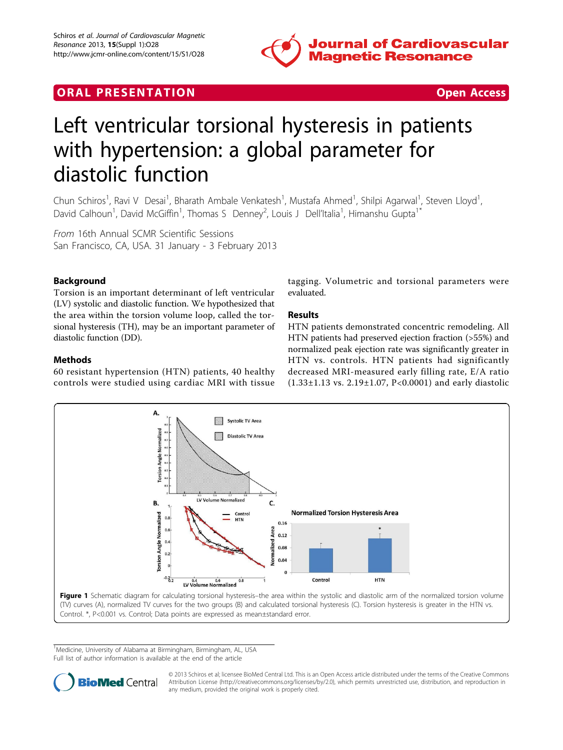

# <span id="page-0-0"></span>**ORAL PRESENTATION CONSUMING ACCESS**



# Left ventricular torsional hysteresis in patients with hypertension: a global parameter for diastolic function

Chun Schiros<sup>1</sup>, Ravi V Desai<sup>1</sup>, Bharath Ambale Venkatesh<sup>1</sup>, Mustafa Ahmed<sup>1</sup>, Shilpi Agarwal<sup>1</sup>, Steven Lloyd<sup>1</sup> , David Calhoun<sup>1</sup>, David McGiffin<sup>1</sup>, Thomas S Denney<sup>2</sup>, Louis J Dell'Italia<sup>1</sup>, Himanshu Gupta<sup>1\*</sup>

From 16th Annual SCMR Scientific Sessions San Francisco, CA, USA. 31 January - 3 February 2013

## Background

Torsion is an important determinant of left ventricular (LV) systolic and diastolic function. We hypothesized that the area within the torsion volume loop, called the torsional hysteresis (TH), may be an important parameter of diastolic function (DD).

### Methods

60 resistant hypertension (HTN) patients, 40 healthy controls were studied using cardiac MRI with tissue tagging. Volumetric and torsional parameters were evaluated.

### Results

HTN patients demonstrated concentric remodeling. All HTN patients had preserved ejection fraction (>55%) and normalized peak ejection rate was significantly greater in HTN vs. controls. HTN patients had significantly decreased MRI-measured early filling rate, E/A ratio (1.33±1.13 vs. 2.19±1.07, P<0.0001) and early diastolic



<sup>1</sup>Medicine, University of Alabama at Birmingham, Birmingham, AL, USA Full list of author information is available at the end of the article



© 2013 Schiros et al; licensee BioMed Central Ltd. This is an Open Access article distributed under the terms of the Creative Commons Attribution License [\(http://creativecommons.org/licenses/by/2.0](http://creativecommons.org/licenses/by/2.0)), which permits unrestricted use, distribution, and reproduction in any medium, provided the original work is properly cited.